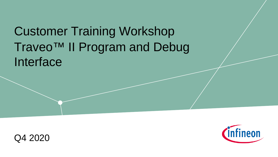# Traveo™ II Program and Debug Interface Customer Training Workshop



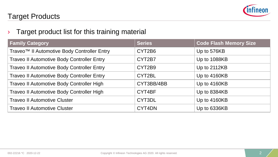

#### Target Products

#### $\rightarrow$  Target product list for this training material

| <b>Family Category</b>                                  | <b>Series</b> | <b>Code Flash Memory Size</b> |
|---------------------------------------------------------|---------------|-------------------------------|
| Traveo <sup>™</sup> Il Automotive Body Controller Entry | CYT2B6        | Up to 576KB                   |
| Traveo II Automotive Body Controller Entry              | CYT2B7        | Up to 1088KB                  |
| Traveo II Automotive Body Controller Entry              | CYT2B9        | Up to 2112KB                  |
| Traveo II Automotive Body Controller Entry              | CYT2BL        | Up to 4160KB                  |
| Traveo II Automotive Body Controller High               | CYT3BB/4BB    | Up to 4160KB                  |
| Traveo II Automotive Body Controller High               | CYT4BF        | Up to 8384KB                  |
| <b>Traveo II Automotive Cluster</b>                     | CYT3DL        | Up to 4160KB                  |
| <b>Traveo II Automotive Cluster</b>                     | CYT4DN        | Up to 6336KB                  |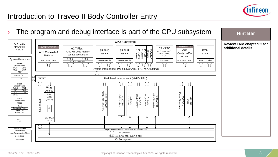

### Introduction to Traveo II Body Controller Entry

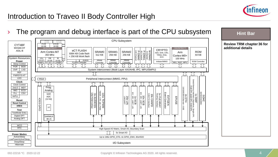

**Hint Bar** 

## Introduction to Traveo II Body Controller High

 $\rightarrow$  The program and debug interface is part of the CPU subsystem

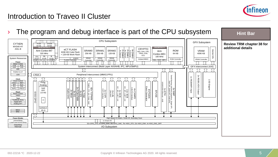

## Introduction to Traveo II Cluster

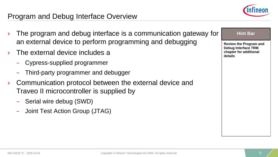

#### Program and Debug Interface Overview

- The program and debug interface is a communication gateway for an external device to perform programming and debugging
- The external device includes a
	- Cypress-supplied programmer
	- Third-party programmer and debugger
- › Communication protocol between the external device and Traveo II microcontroller is supplied by
	- Serial wire debug (SWD)
	- Joint Test Action Group (JTAG)

**Review the Program and Debug Interface TRM chapter for additional details**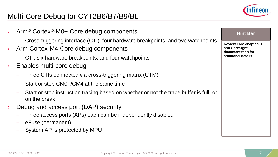### Multi-Core Debug for CYT2B6/B7/B9/BL



| Arm <sup>®</sup> Cortex <sup>®</sup> -M0+ Core debug components                                        | <b>Hint Bar</b>                               |
|--------------------------------------------------------------------------------------------------------|-----------------------------------------------|
| Cross-triggering interface (CTI), four hardware breakpoints, and two watchpoints                       | <b>Review TRM chapter 31</b><br>and CoreSight |
| Arm Cortex-M4 Core debug components                                                                    | documentation for<br>additional details       |
| CTI, six hardware breakpoints, and four watchpoints<br>Enables multi-core debug                        |                                               |
| Three CTIs connected via cross-triggering matrix (CTM)                                                 |                                               |
| Start or stop CM0+/CM4 at the same time                                                                |                                               |
| Start or stop instruction tracing based on whether or not the trace buffer is full, or<br>on the break |                                               |
| Debug and access port (DAP) security                                                                   |                                               |
| Three access ports (APs) each can be independently disabled                                            |                                               |
| eFuse (permanent)                                                                                      |                                               |
| System AP is protected by MPU                                                                          |                                               |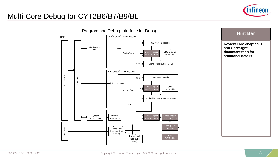#### Multi-Core Debug for CYT2B6/B7/B9/BL





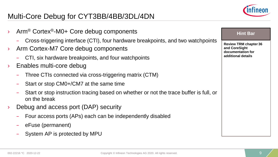## Multi-Core Debug for CYT3BB/4BB/3DL/4DN



| Arm <sup>®</sup> Cortex <sup>®</sup> -M0+ Core debug components                                                         | <b>Hint Bar</b>                               |
|-------------------------------------------------------------------------------------------------------------------------|-----------------------------------------------|
| Cross-triggering interface (CTI), four hardware breakpoints, and two watchpoints<br>Arm Cortex-M7 Core debug components | <b>Review TRM chapter 36</b><br>and CoreSight |
| CTI, six hardware breakpoints, and four watchpoints                                                                     | documentation for<br>additional details       |
| Enables multi-core debug                                                                                                |                                               |
| Three CTIs connected via cross-triggering matrix (CTM)                                                                  |                                               |
| Start or stop CM0+/CM7 at the same time                                                                                 |                                               |
| Start or stop instruction tracing based on whether or not the trace buffer is full, or<br>on the break                  |                                               |
| Debug and access port (DAP) security                                                                                    |                                               |
| Four access ports (APs) each can be independently disabled                                                              |                                               |
| eFuse (permanent)                                                                                                       |                                               |
| System AP is protected by MPU                                                                                           |                                               |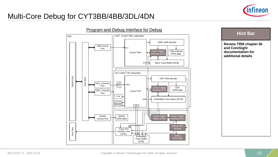#### Multi-Core Debug for CYT3BB/4BB/3DL/4DN





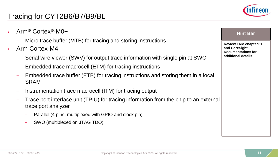- › Arm® Cortex®-M0+
	- Micro trace buffer (MTB) for tracing and storing instructions
- Arm Cortex-M4
	- Serial wire viewer (SWV) for output trace information with single pin at SWO
	- Embedded trace macrocell (ETM) for tracing instructions
	- Embedded trace buffer (ETB) for tracing instructions and storing them in a local SRAM
	- Instrumentation trace macrocell (ITM) for tracing output
	- Trace port interface unit (TPIU) for tracing information from the chip to an external trace port analyzer
		- Parallel (4 pins, multiplexed with GPIO and clock pin)
		- SWO (multiplexed on JTAG TDO)



#### **Hint Bar**

**Review TRM chapter 31 and CoreSight Documentations for additional details**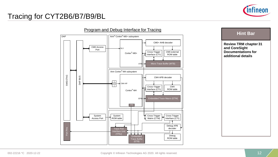

## Tracing for CYT2B6/B7/B9/BL





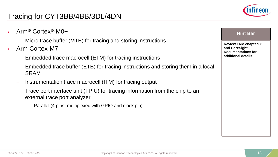

- › Arm® Cortex®-M0+
	- Micro trace buffer (MTB) for tracing and storing instructions
- Arm Cortex-M7
	- Embedded trace macrocell (ETM) for tracing instructions
	- Embedded trace buffer (ETB) for tracing instructions and storing them in a local SRAM
	- Instrumentation trace macrocell (ITM) for tracing output
	- Trace port interface unit (TPIU) for tracing information from the chip to an external trace port analyzer
		- Parallel (4 pins, multiplexed with GPIO and clock pin)

|--|

**Review TRM chapter 36 and CoreSight Documentations for additional details**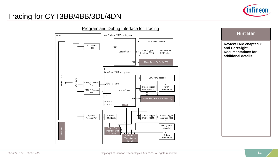

#### Tracing for CYT3BB/4BB/3DL/4DN



**Hint Bar** 

**Review TRM chapter 36 and CoreSight Documentations for additional details**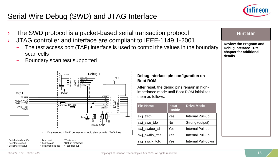### Serial Wire Debug (SWD) and JTAG Interface





- › JTAG controller and interface are compliant to IEEE-1149.1-2001
	- The test access port (TAP) interface is used to control the values in the boundary scan cells
	- Boundary scan test supported



**Debug interface pin configuration on Boot ROM**

After reset, the debug pins remain in highimpedance mode until Boot ROM initializes them as follows:

| <b>Pin Name</b> | <b>Input</b><br><b>Enable</b> | <b>Drive Mode</b>  |
|-----------------|-------------------------------|--------------------|
| swj_trstn       | Yes                           | Internal Pull-up   |
| swj_swo_tdo     | No                            | Strong (output)    |
| swi swdoe tdi   | Yes                           | Internal Pull-up   |
| swj_swdio_tms   | Yes                           | Internal Pull-up   |
| swj_swclk_tclk  | Yes                           | Internal Pull-down |

#### **Hint Bar**

**Review the Program and Debug Interface TRM chapter for additional details**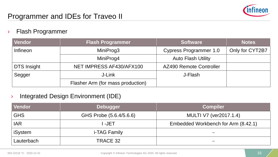

#### › Flash Programmer

| <b>Vendor</b> | <b>Flash Programmer</b>           | <b>Software</b>               | <b>Notes</b>    |
|---------------|-----------------------------------|-------------------------------|-----------------|
| Infineon      | MiniProg3                         | <b>Cypress Programmer 1.0</b> | Only for CYT2B7 |
|               | MiniProg4                         | <b>Auto Flash Utility</b>     |                 |
| DTS Insight   | NET IMPRESS AF430/AFX100          | AZ490 Remote Controller       |                 |
| Segger        | J-Link                            | J-Flash                       |                 |
|               | Flasher Arm (for mass production) |                               |                 |

#### › Integrated Design Environment (IDE)

| Vendor     | <b>Debugger</b>         | <b>Compiler</b>                     |
|------------|-------------------------|-------------------------------------|
| <b>GHS</b> | GHS Probe (5.6.4/5.6.6) | MULTI V7 (ver2017.1.4)              |
| <b>IAR</b> | I -JET                  | Embedded Workbench for Arm (8.42.1) |
| iSystem    | i-TAG Family            |                                     |
| Lauterbach | TRACE 32                |                                     |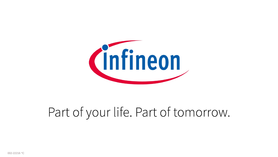

# Part of your life. Part of tomorrow.